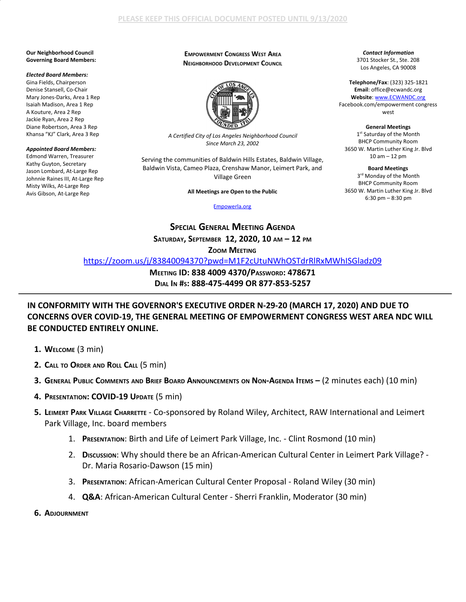#### **Our Neighborhood Council Governing Board Members:**

## *Elected Board Members:*

Gina Fields, Chairperson Denise Stansell, Co-Chair Mary Jones-Darks, Area 1 Rep Isaiah Madison, Area 1 Rep A Kouture, Area 2 Rep Jackie Ryan, Area 2 Rep Diane Robertson, Area 3 Rep Khansa "KJ" Clark, Area 3 Rep

### *Appointed Board Members:*

Edmond Warren, Treasurer Kathy Guyton, Secretary Jason Lombard, At-Large Rep Johnnie Raines III, At-Large Rep Misty Wilks, At-Large Rep Avis Gibson, At-Large Rep

# **EMPOWERMENT CONGRESS WEST AREA NEIGHBORHOOD DEVELOPMENT COUNCIL**



*A Certified City of Los Angeles Neighborhood Council Since March 23, 2002*

Serving the communities of Baldwin Hills Estates, Baldwin Village, Baldwin Vista, Cameo Plaza, Crenshaw Manor, Leimert Park, and Village Green

**All Meetings are Open to the Public**

### [Empowerla.org](http://www.empowerla.org/)

*Contact Information* 3701 Stocker St., Ste. 208 Los Angeles, CA 90008

**Telephone/Fax**: (323) 325-1821 **Email**: office@ecwandc.org **Website**: [www.ECWANDC.org](http://www.ecwandc.org/) Facebook.com/empowerment congress west

**General Meetings** 1<sup>st</sup> Saturday of the Month BHCP Community Room 3650 W. Martin Luther King Jr. Blvd 10 am – 12 pm

**Board Meetings** 3 rd Monday of the Month BHCP Community Room 3650 W. Martin Luther King Jr. Blvd 6:30 pm – 8:30 pm

**SPECIAL GENERAL MEETING AGENDA SATURDAY, SEPTEMBER 12, 2020, 10 AM – 12 PM**

# **ZOOM MEETING**

<https://zoom.us/j/83840094370?pwd=M1F2cUtuNWhOSTdrRlRxMWhISGladz09>

**MEETING ID: 838 4009 4370/PASSWORD: 478671 DIAL IN #S: 888-475-4499 OR 877-853-5257**

# **IN CONFORMITY WITH THE GOVERNOR'S EXECUTIVE ORDER N-29-20 (MARCH 17, 2020) AND DUE TO CONCERNS OVER COVID-19, THE GENERAL MEETING OF EMPOWERMENT CONGRESS WEST AREA NDC WILL BE CONDUCTED ENTIRELY ONLINE.**

- **1. WELCOME** (3 min)
- **2. CALL TO ORDER AND ROLL CALL** (5 min)
- 3. GENERAL PUBLIC COMMENTS AND BRIEF BOARD ANNOUNCEMENTS ON NON-AGENDA ITEMS (2 MINUTES each) (10 MIN)
- **4. PRESENTATION: COVID-19 UPDATE** (5 min)
- **5. LEIMERT PARK VILLAGE CHARRETTE** Co-sponsored by Roland Wiley, Architect, RAW International and Leimert Park Village, Inc. board members
	- 1. **PRESENTATION**: Birth and Life of Leimert Park Village, Inc. Clint Rosmond (10 min)
	- 2. Discussion: Why should there be an African-American Cultural Center in Leimert Park Village? -Dr. Maria Rosario-Dawson (15 min)
	- 3. **PRESENTATION**: African-American Cultural Center Proposal Roland Wiley (30 min)
	- 4. **Q&A**: African-American Cultural Center Sherri Franklin, Moderator (30 min)
- **6. ADJOURNMENT**